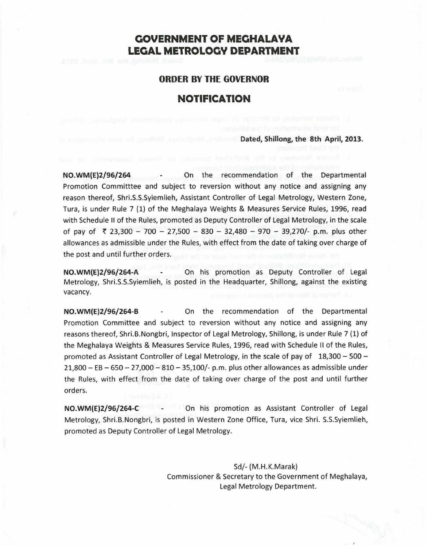# **CiOVERNMENT OF MECiHALAYA LEGAL METROLOGY DEPARTMENT**

## **ORDER BY THE GOVERNOR**

# **NOTIFICATION**

#### **Dated, Shillong, the 8th April, 2013.**

**NO.WM(E)2/96/264** On the recommendation of the Departmental Promotion Committtee and subject to reversion without any notice and assigning any reason thereof, Shri.S.S.Syiemlieh, Assistant Controller of Legal Metrology, Western Zone, Tura, is under Rule 7 (1) of the Meghalaya Weights & Measures Service Rules, 1996, read with Schedule II of the Rules, promoted as Deputy Controller of Legal Metrology, in the scale of pay of ₹ 23,300 - 700 - 27,500 - 830 - 32,480 - 970 - 39,270/- p.m. plus other allowances as admissible under the Rules, with effect from the date of taking over charge of the post and until further orders.

**NO.WM(E)2/96/264-A** On his promotion as Deputy Controller of Legal Metrology, Shri.S.S.Syiemlieh, is posted in the Headquarter, Shillong, against the existing vacancy.

**NO.WM(E)2/96/264-B** On the recommendation of the Departmental Promotion Committee and subject to reversion without any notice and assigning any reasons thereof, Shri.B.Nongbri, Inspector of Legal Metrology, Shillong, is under Rule 7 (1) of the Meghalaya Weights & Measures Service Rules, 1996, read with Schedule II of the Rules, promoted as Assistant Controller of Legal Metrology, in the scale of pay of  $18,300 - 500 21,800 - EB - 650 - 27,000 - 810 - 35,100/2$  p.m. plus other allowances as admissible under the Rules, with effect from the date of taking over charge of the post and until further orders.

**NO.WM(E)2/96/264-C** On his promotion as Assistant Controller of Legal Metrology, Shri.B.Nongbri, is posted in Western Zone Office, Tura, vice Shri. S.S.Syiemlieh, promoted as Deputy Controller of Legal Metrology.

> Sd/- (M.H.K.Marak) Commissioner & Secretary to the Government of Meghalaya, Legal Metrology Department.